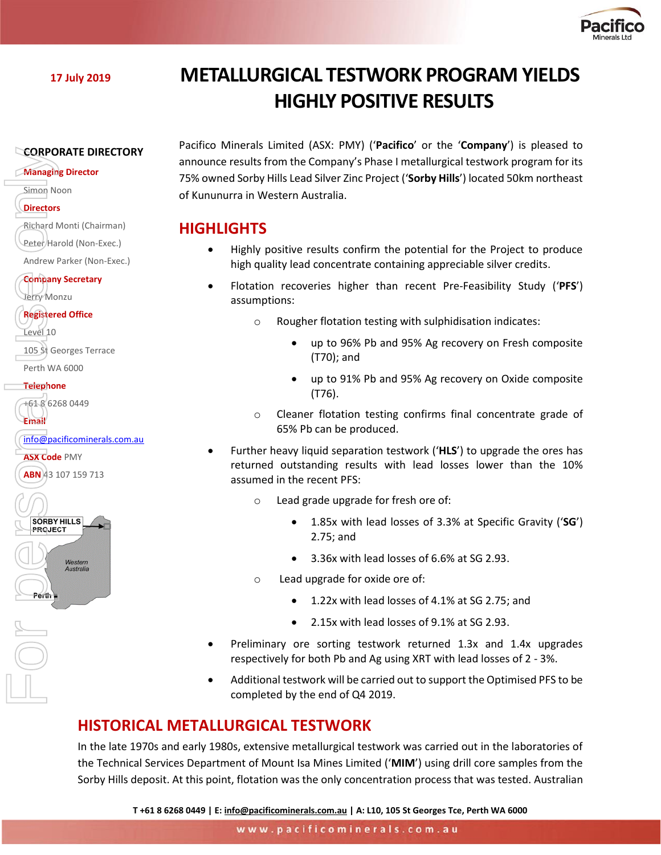

# **<sup>17</sup> July 2019 METALLURGICAL TESTWORK PROGRAM YIELDS HIGHLY POSITIVE RESULTS**

#### **CORPORATE DIRECTORY**

**Managing Director**

Simon Noon

- **Directors**
- Richard Monti (Chairman)
- Peter/Harold (Non-Exec.)

Andrew Parker (Non-Exec.)

**Company Secretary** Jerry Monzu

#### **Registered Office**

Level 10

105 St Georges Terrace Perth WA 6000 **CORPORATE DIR**<br> **ABN** 107 Noon<br> **ABN** 23 107 159 713<br> **ABN** 43 107 159 713<br> **ABN** 43 107 159 713<br> **ABN** 43 107 159 713<br> **ABN** 43 107 159 713<br> **ABN** 43 107 159 713<br> **ABN** 43 107 159 713<br> **ABN** 43 107 159 713<br> **ABN** 43 107

#### **Telephone**

+61 8 6268 0449 **Email**

[info@pacificominerals.com.au](mailto:info@pacificominerals.com.au)

**ASX Code** PMY

ABN 43 107 159 713

**SORBY HILLS PROJECT** 

Parth L

Western Australia Pacifico Minerals Limited (ASX: PMY) ('**Pacifico**' or the '**Company**') is pleased to announce results from the Company's Phase I metallurgical testwork program for its 75% owned Sorby Hills Lead Silver Zinc Project ('**Sorby Hills**') located 50km northeast of Kununurra in Western Australia.

## **HIGHLIGHTS**

- Highly positive results confirm the potential for the Project to produce high quality lead concentrate containing appreciable silver credits.
- Flotation recoveries higher than recent Pre-Feasibility Study ('**PFS**') assumptions:
	- o Rougher flotation testing with sulphidisation indicates:
		- up to 96% Pb and 95% Ag recovery on Fresh composite (T70); and
		- up to 91% Pb and 95% Ag recovery on Oxide composite (T76).
	- o Cleaner flotation testing confirms final concentrate grade of 65% Pb can be produced.
- Further heavy liquid separation testwork ('**HLS**') to upgrade the ores has returned outstanding results with lead losses lower than the 10% assumed in the recent PFS:
	- o Lead grade upgrade for fresh ore of:
		- 1.85x with lead losses of 3.3% at Specific Gravity ('**SG**') 2.75; and
		- 3.36x with lead losses of 6.6% at SG 2.93.
	- o Lead upgrade for oxide ore of:
		- 1.22x with lead losses of 4.1% at SG 2.75; and
		- 2.15x with lead losses of 9.1% at SG 2.93.
- Preliminary ore sorting testwork returned 1.3x and 1.4x upgrades respectively for both Pb and Ag using XRT with lead losses of 2 - 3%.
- Additional testwork will be carried out to support the Optimised PFS to be completed by the end of Q4 2019.

# **HISTORICAL METALLURGICAL TESTWORK**

In the late 1970s and early 1980s, extensive metallurgical testwork was carried out in the laboratories of the Technical Services Department of Mount Isa Mines Limited ('**MIM**') using drill core samples from the Sorby Hills deposit. At this point, flotation was the only concentration process that was tested. Australian

**T +61 8 6268 0449 | E[: info@pacificominerals.com.au](mailto:info@pacificominerals.com.au) | A: L10, 105 St Georges Tce, Perth WA 6000**

www.pacificominerals.com.au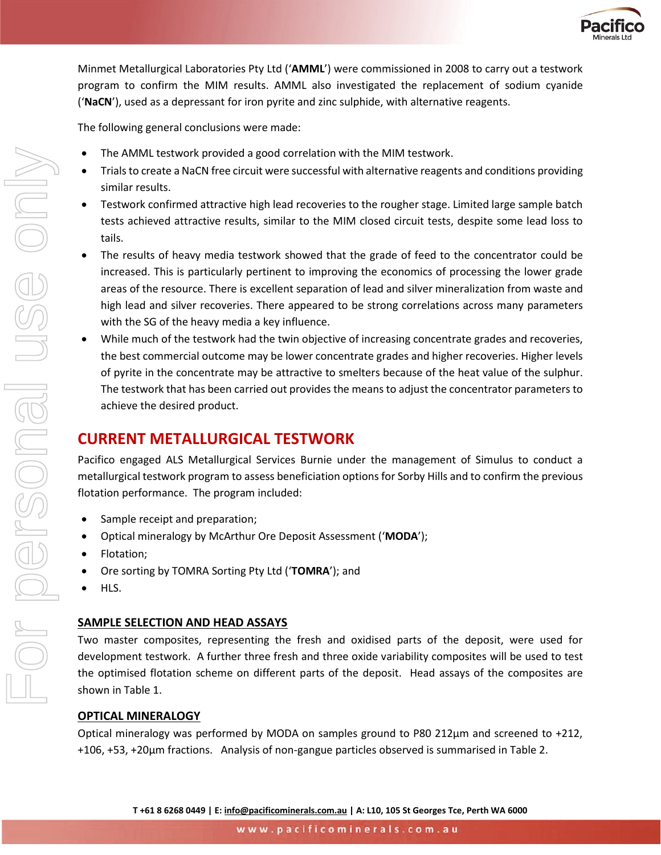

Minmet Metallurgical Laboratories Pty Ltd ('**AMML**') were commissioned in 2008 to carry out a testwork program to confirm the MIM results. AMML also investigated the replacement of sodium cyanide ('**NaCN**'), used as a depressant for iron pyrite and zinc sulphide, with alternative reagents.

The following general conclusions were made:

- The AMML testwork provided a good correlation with the MIM testwork.
- Trials to create a NaCN free circuit were successful with alternative reagents and conditions providing similar results.
- Testwork confirmed attractive high lead recoveries to the rougher stage. Limited large sample batch tests achieved attractive results, similar to the MIM closed circuit tests, despite some lead loss to tails.
- The results of heavy media testwork showed that the grade of feed to the concentrator could be increased. This is particularly pertinent to improving the economics of processing the lower grade areas of the resource. There is excellent separation of lead and silver mineralization from waste and high lead and silver recoveries. There appeared to be strong correlations across many parameters with the SG of the heavy media a key influence.
- While much of the testwork had the twin objective of increasing concentrate grades and recoveries, the best commercial outcome may be lower concentrate grades and higher recoveries. Higher levels of pyrite in the concentrate may be attractive to smelters because of the heat value of the sulphur. The testwork that has been carried out provides the means to adjust the concentrator parameters to achieve the desired product.

# **CURRENT METALLURGICAL TESTWORK**

Pacifico engaged ALS Metallurgical Services Burnie under the management of Simulus to conduct a metallurgical testwork program to assess beneficiation options for Sorby Hills and to confirm the previous flotation performance. The program included:

- Sample receipt and preparation;
- Optical mineralogy by McArthur Ore Deposit Assessment ('**MODA**');
- Flotation;
- Ore sorting by TOMRA Sorting Pty Ltd ('**TOMRA**'); and
- HLS.

#### **SAMPLE SELECTION AND HEAD ASSAYS**

Two master composites, representing the fresh and oxidised parts of the deposit, were used for development testwork. A further three fresh and three oxide variability composites will be used to test the optimised flotation scheme on different parts of the deposit. Head assays of the composites are shown in Table 1.

#### **OPTICAL MINERALOGY**

Optical mineralogy was performed by MODA on samples ground to P80 212µm and screened to +212, +106, +53, +20µm fractions. Analysis of non-gangue particles observed is summarised in Table 2.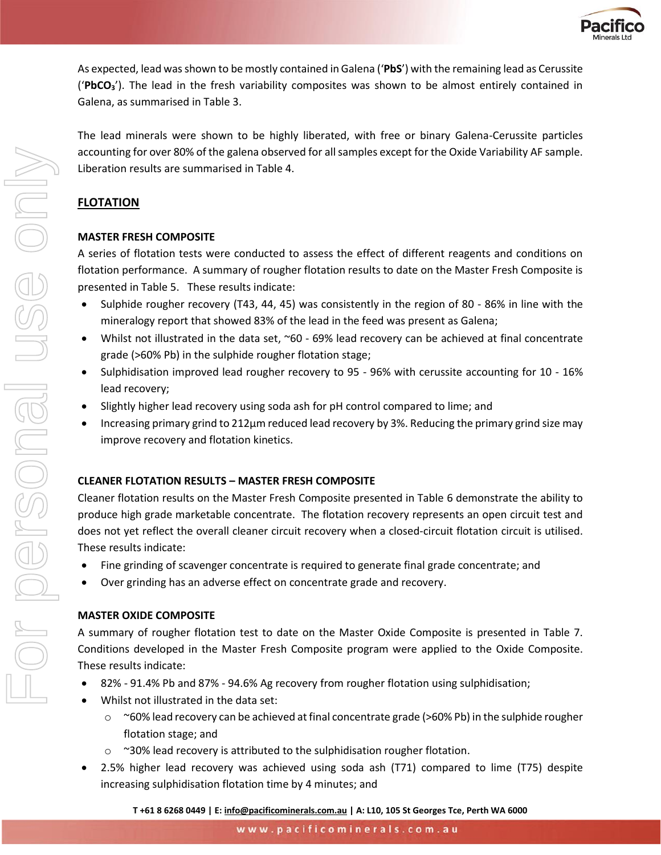

As expected, lead was shown to be mostly contained in Galena ('**PbS**') with the remaining lead as Cerussite ('**PbCO3**'). The lead in the fresh variability composites was shown to be almost entirely contained in Galena, as summarised in Table 3.

The lead minerals were shown to be highly liberated, with free or binary Galena-Cerussite particles accounting for over 80% of the galena observed for all samples except for the Oxide Variability AF sample. Liberation results are summarised in Table 4.

### **FLOTATION**

#### **MASTER FRESH COMPOSITE**

A series of flotation tests were conducted to assess the effect of different reagents and conditions on flotation performance. A summary of rougher flotation results to date on the Master Fresh Composite is presented in Table 5. These results indicate:

- Sulphide rougher recovery (T43, 44, 45) was consistently in the region of 80 86% in line with the mineralogy report that showed 83% of the lead in the feed was present as Galena;
- Whilst not illustrated in the data set, ~60 69% lead recovery can be achieved at final concentrate grade (>60% Pb) in the sulphide rougher flotation stage;
- Sulphidisation improved lead rougher recovery to 95 96% with cerussite accounting for 10 16% lead recovery;
- Slightly higher lead recovery using soda ash for pH control compared to lime; and
- Increasing primary grind to 212µm reduced lead recovery by 3%. Reducing the primary grind size may improve recovery and flotation kinetics.

#### **CLEANER FLOTATION RESULTS – MASTER FRESH COMPOSITE**

Cleaner flotation results on the Master Fresh Composite presented in Table 6 demonstrate the ability to produce high grade marketable concentrate. The flotation recovery represents an open circuit test and does not yet reflect the overall cleaner circuit recovery when a closed-circuit flotation circuit is utilised. These results indicate:

- Fine grinding of scavenger concentrate is required to generate final grade concentrate; and
- Over grinding has an adverse effect on concentrate grade and recovery.

#### **MASTER OXIDE COMPOSITE**

A summary of rougher flotation test to date on the Master Oxide Composite is presented in Table 7. Conditions developed in the Master Fresh Composite program were applied to the Oxide Composite. These results indicate:

- 82% 91.4% Pb and 87% 94.6% Ag recovery from rougher flotation using sulphidisation;
- Whilst not illustrated in the data set:
	- $\circ$  ~60% lead recovery can be achieved at final concentrate grade (>60% Pb) in the sulphide rougher flotation stage; and
	- $\circ$  ~30% lead recovery is attributed to the sulphidisation rougher flotation.
- 2.5% higher lead recovery was achieved using soda ash (T71) compared to lime (T75) despite increasing sulphidisation flotation time by 4 minutes; and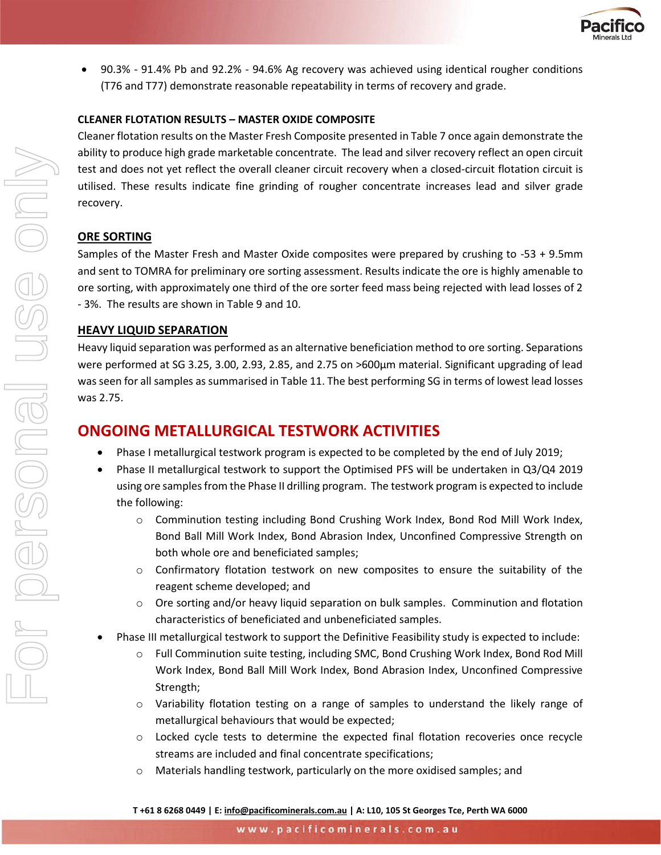

• 90.3% - 91.4% Pb and 92.2% - 94.6% Ag recovery was achieved using identical rougher conditions (T76 and T77) demonstrate reasonable repeatability in terms of recovery and grade.

#### **CLEANER FLOTATION RESULTS – MASTER OXIDE COMPOSITE**

Cleaner flotation results on the Master Fresh Composite presented in Table 7 once again demonstrate the ability to produce high grade marketable concentrate. The lead and silver recovery reflect an open circuit test and does not yet reflect the overall cleaner circuit recovery when a closed-circuit flotation circuit is utilised. These results indicate fine grinding of rougher concentrate increases lead and silver grade recovery.

#### **ORE SORTING**

Samples of the Master Fresh and Master Oxide composites were prepared by crushing to -53 + 9.5mm and sent to TOMRA for preliminary ore sorting assessment. Results indicate the ore is highly amenable to ore sorting, with approximately one third of the ore sorter feed mass being rejected with lead losses of 2 - 3%. The results are shown in Table 9 and 10.

#### **HEAVY LIQUID SEPARATION**

Heavy liquid separation was performed as an alternative beneficiation method to ore sorting. Separations were performed at SG 3.25, 3.00, 2.93, 2.85, and 2.75 on >600µm material. Significant upgrading of lead was seen for all samples as summarised in Table 11. The best performing SG in terms of lowest lead losses was 2.75.

# **ONGOING METALLURGICAL TESTWORK ACTIVITIES**

- Phase I metallurgical testwork program is expected to be completed by the end of July 2019;
- Phase II metallurgical testwork to support the Optimised PFS will be undertaken in Q3/Q4 2019 using ore samples from the Phase II drilling program. The testwork program is expected to include the following:
	- o Comminution testing including Bond Crushing Work Index, Bond Rod Mill Work Index, Bond Ball Mill Work Index, Bond Abrasion Index, Unconfined Compressive Strength on both whole ore and beneficiated samples;
	- $\circ$  Confirmatory flotation testwork on new composites to ensure the suitability of the reagent scheme developed; and
	- $\circ$  Ore sorting and/or heavy liquid separation on bulk samples. Comminution and flotation characteristics of beneficiated and unbeneficiated samples.
- Phase III metallurgical testwork to support the Definitive Feasibility study is expected to include:
	- o Full Comminution suite testing, including SMC, Bond Crushing Work Index, Bond Rod Mill Work Index, Bond Ball Mill Work Index, Bond Abrasion Index, Unconfined Compressive Strength;
	- o Variability flotation testing on a range of samples to understand the likely range of metallurgical behaviours that would be expected;
	- $\circ$  Locked cycle tests to determine the expected final flotation recoveries once recycle streams are included and final concentrate specifications;
	- o Materials handling testwork, particularly on the more oxidised samples; and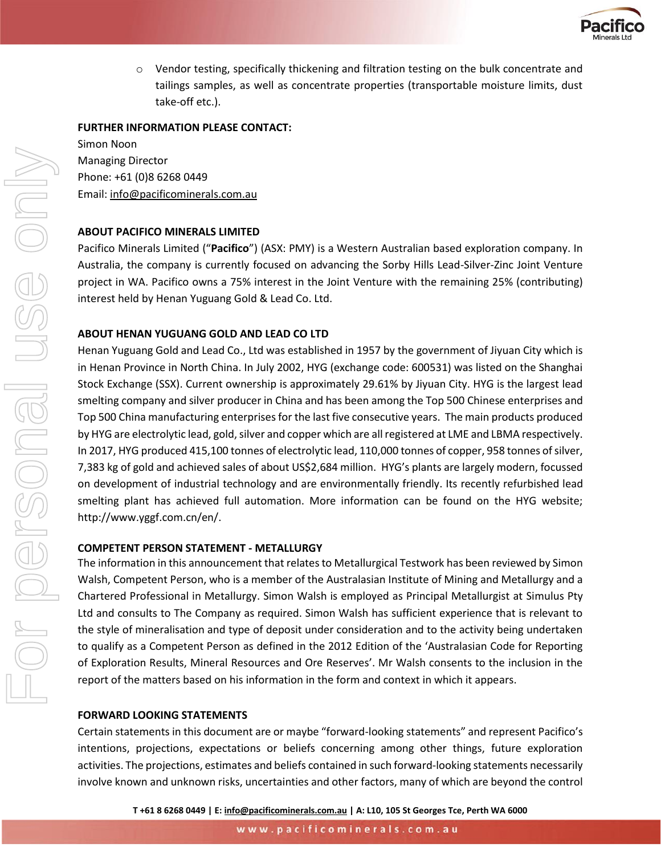

o Vendor testing, specifically thickening and filtration testing on the bulk concentrate and tailings samples, as well as concentrate properties (transportable moisture limits, dust take-off etc.).

#### **FURTHER INFORMATION PLEASE CONTACT:**

Simon Noon Managing Director Phone: +61 (0)8 6268 0449 Email: [info@pacificominerals.com.au](mailto:info@pacificominerals.com.au)

#### **ABOUT PACIFICO MINERALS LIMITED**

Pacifico Minerals Limited ("**Pacifico**") (ASX: PMY) is a Western Australian based exploration company. In Australia, the company is currently focused on advancing the Sorby Hills Lead-Silver-Zinc Joint Venture project in WA. Pacifico owns a 75% interest in the Joint Venture with the remaining 25% (contributing) interest held by Henan Yuguang Gold & Lead Co. Ltd.

#### **ABOUT HENAN YUGUANG GOLD AND LEAD CO LTD**

Henan Yuguang Gold and Lead Co., Ltd was established in 1957 by the government of Jiyuan City which is in Henan Province in North China. In July 2002, HYG (exchange code: 600531) was listed on the Shanghai Stock Exchange (SSX). Current ownership is approximately 29.61% by Jiyuan City. HYG is the largest lead smelting company and silver producer in China and has been among the Top 500 Chinese enterprises and Top 500 China manufacturing enterprises for the last five consecutive years. The main products produced by HYG are electrolytic lead, gold, silver and copper which are all registered at LME and LBMA respectively. In 2017, HYG produced 415,100 tonnes of electrolytic lead, 110,000 tonnes of copper, 958 tonnes of silver, 7,383 kg of gold and achieved sales of about US\$2,684 million. HYG's plants are largely modern, focussed on development of industrial technology and are environmentally friendly. Its recently refurbished lead smelting plant has achieved full automation. More information can be found on the HYG website; http://www.yggf.com.cn/en/.

#### **COMPETENT PERSON STATEMENT - METALLURGY**

The information in this announcement that relates to Metallurgical Testwork has been reviewed by Simon Walsh, Competent Person, who is a member of the Australasian Institute of Mining and Metallurgy and a Chartered Professional in Metallurgy. Simon Walsh is employed as Principal Metallurgist at Simulus Pty Ltd and consults to The Company as required. Simon Walsh has sufficient experience that is relevant to the style of mineralisation and type of deposit under consideration and to the activity being undertaken to qualify as a Competent Person as defined in the 2012 Edition of the 'Australasian Code for Reporting of Exploration Results, Mineral Resources and Ore Reserves'. Mr Walsh consents to the inclusion in the report of the matters based on his information in the form and context in which it appears.

#### **FORWARD LOOKING STATEMENTS**

Certain statements in this document are or maybe "forward-looking statements" and represent Pacifico's intentions, projections, expectations or beliefs concerning among other things, future exploration activities. The projections, estimates and beliefs contained in such forward-looking statements necessarily involve known and unknown risks, uncertainties and other factors, many of which are beyond the control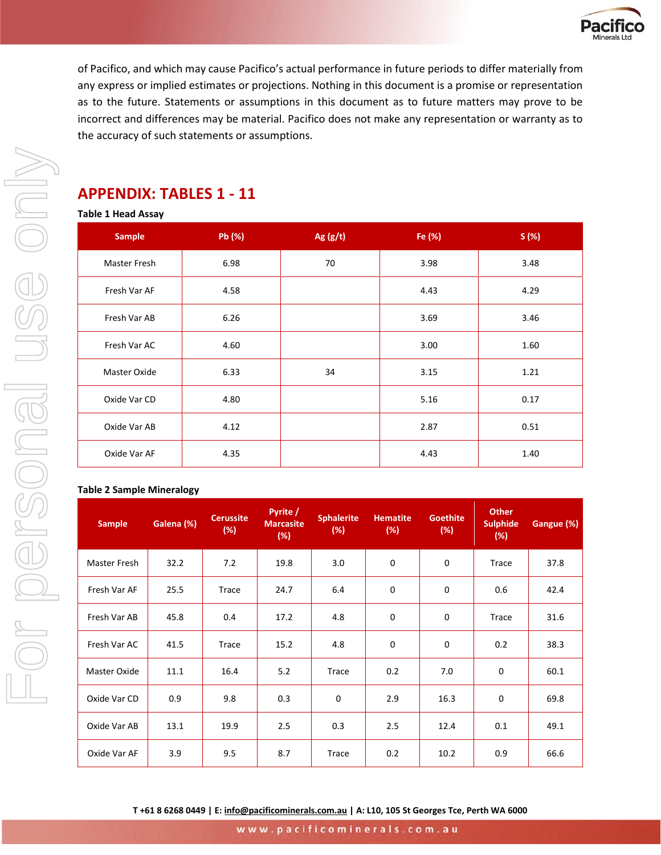

of Pacifico, and which may cause Pacifico's actual performance in future periods to differ materially from any express or implied estimates or projections. Nothing in this document is a promise or representation as to the future. Statements or assumptions in this document as to future matters may prove to be incorrect and differences may be material. Pacifico does not make any representation or warranty as to the accuracy of such statements or assumptions.

# **APPENDIX: TABLES 1 - 11**

#### **Table 1 Head Assay**

| <b>Sample</b> | Pb (%) | Ag $(g/t)$ | Fe (%) | S(%) |
|---------------|--------|------------|--------|------|
| Master Fresh  | 6.98   | 70         | 3.98   | 3.48 |
| Fresh Var AF  | 4.58   |            | 4.43   | 4.29 |
| Fresh Var AB  | 6.26   |            | 3.69   | 3.46 |
| Fresh Var AC  | 4.60   |            | 3.00   | 1.60 |
| Master Oxide  | 6.33   | 34         | 3.15   | 1.21 |
| Oxide Var CD  | 4.80   |            | 5.16   | 0.17 |
| Oxide Var AB  | 4.12   |            | 2.87   | 0.51 |
| Oxide Var AF  | 4.35   |            | 4.43   | 1.40 |

#### **Table 2 Sample Mineralogy**

For personal use only

For personal use onN

| <b>Sample</b> | Galena (%) | <b>Cerussite</b><br>(%) | Pyrite /<br><b>Marcasite</b><br>(%) | <b>Sphalerite</b><br>$(\%)$ | <b>Hematite</b><br>(%) | <b>Goethite</b><br>(%) | <b>Other</b><br><b>Sulphide</b><br>(%) | Gangue (%) |
|---------------|------------|-------------------------|-------------------------------------|-----------------------------|------------------------|------------------------|----------------------------------------|------------|
| Master Fresh  | 32.2       | 7.2                     | 19.8                                | 3.0                         | 0                      | 0                      | Trace                                  | 37.8       |
| Fresh Var AF  | 25.5       | Trace                   | 24.7                                | 6.4                         | $\mathbf 0$            | 0                      | 0.6                                    | 42.4       |
| Fresh Var AB  | 45.8       | 0.4                     | 17.2                                | 4.8                         | $\mathbf 0$            | 0                      | Trace                                  | 31.6       |
| Fresh Var AC  | 41.5       | Trace                   | 15.2                                | 4.8                         | $\mathbf 0$            | 0                      | 0.2                                    | 38.3       |
| Master Oxide  | 11.1       | 16.4                    | 5.2                                 | Trace                       | 0.2                    | 7.0                    | 0                                      | 60.1       |
| Oxide Var CD  | 0.9        | 9.8                     | 0.3                                 | 0                           | 2.9                    | 16.3                   | 0                                      | 69.8       |
| Oxide Var AB  | 13.1       | 19.9                    | 2.5                                 | 0.3                         | 2.5                    | 12.4                   | 0.1                                    | 49.1       |
| Oxide Var AF  | 3.9        | 9.5                     | 8.7                                 | Trace                       | 0.2                    | 10.2                   | 0.9                                    | 66.6       |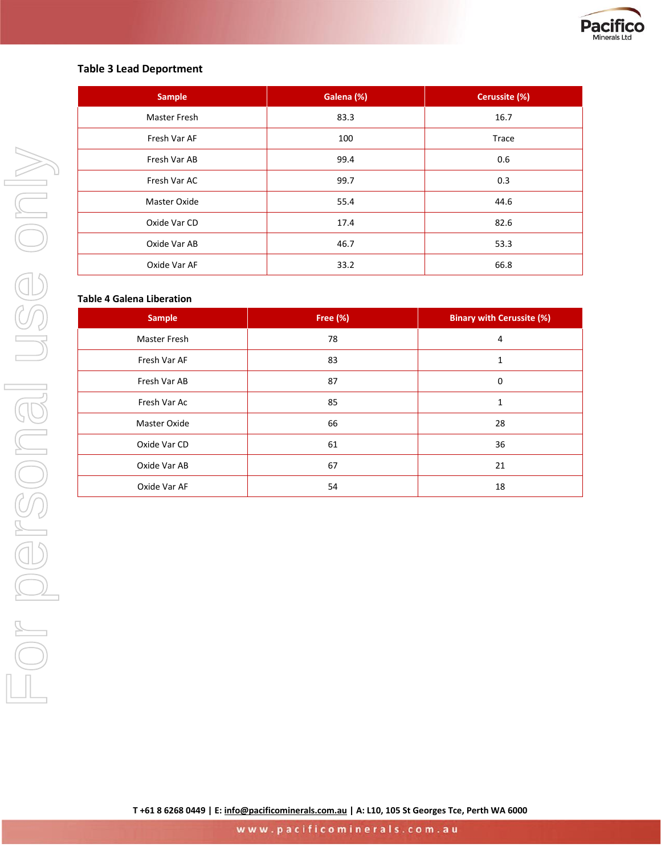

#### **Table 3 Lead Deportment**

| <b>Sample</b>       | Galena (%) | Cerussite (%) |
|---------------------|------------|---------------|
| <b>Master Fresh</b> | 83.3       | 16.7          |
| Fresh Var AF        | 100        | Trace         |
| Fresh Var AB        | 99.4       | 0.6           |
| Fresh Var AC        | 99.7       | 0.3           |
| Master Oxide        | 55.4       | 44.6          |
| Oxide Var CD        | 17.4       | 82.6          |
| Oxide Var AB        | 46.7       | 53.3          |
| Oxide Var AF        | 33.2       | 66.8          |

#### **Table 4 Galena Liberation**

| <b>Sample</b> | Free (%) | <b>Binary with Cerussite (%)</b> |
|---------------|----------|----------------------------------|
| Master Fresh  | 78       | 4                                |
| Fresh Var AF  | 83       | 1                                |
| Fresh Var AB  | 87       | 0                                |
| Fresh Var Ac  | 85       | 1                                |
| Master Oxide  | 66       | 28                               |
| Oxide Var CD  | 61       | 36                               |
| Oxide Var AB  | 67       | 21                               |
| Oxide Var AF  | 54       | 18                               |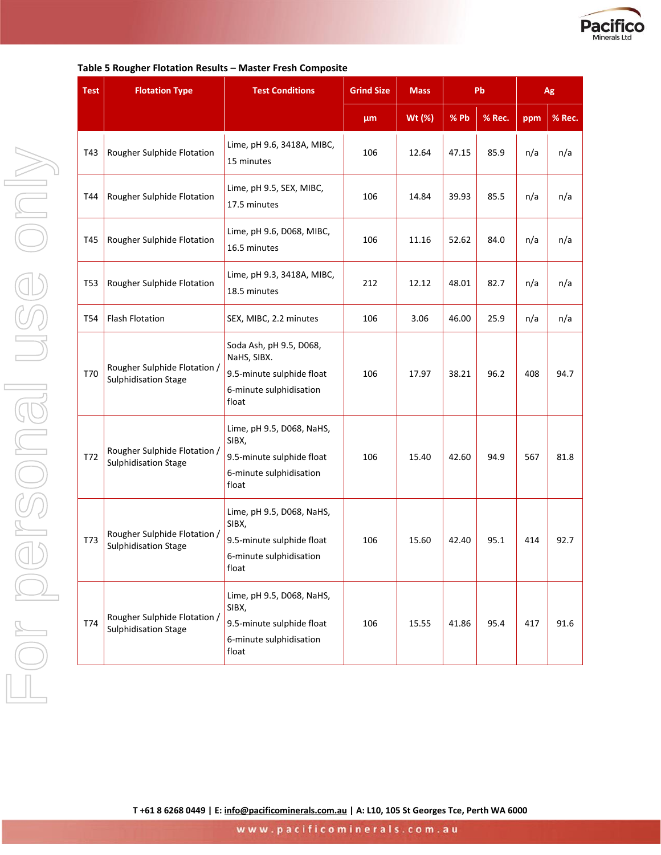

| <b>Test</b> | <b>Flotation Type</b>                                       | <b>Test Conditions</b>                                                                                  | <b>Grind Size</b> | Pb<br><b>Mass</b> |       |        |     | Ag     |
|-------------|-------------------------------------------------------------|---------------------------------------------------------------------------------------------------------|-------------------|-------------------|-------|--------|-----|--------|
|             |                                                             |                                                                                                         | μm                | Wt (%)            | % Pb  | % Rec. | ppm | % Rec. |
| T43         | Rougher Sulphide Flotation                                  | Lime, pH 9.6, 3418A, MIBC,<br>15 minutes                                                                | 106               | 12.64             | 47.15 | 85.9   | n/a | n/a    |
| T44         | Rougher Sulphide Flotation                                  | Lime, pH 9.5, SEX, MIBC,<br>17.5 minutes                                                                | 106               | 14.84             | 39.93 | 85.5   | n/a | n/a    |
| T45         | Rougher Sulphide Flotation                                  | Lime, pH 9.6, D068, MIBC,<br>16.5 minutes                                                               | 106               | 11.16             | 52.62 | 84.0   | n/a | n/a    |
| T53         | Rougher Sulphide Flotation                                  | Lime, pH 9.3, 3418A, MIBC,<br>18.5 minutes                                                              | 212               | 12.12             | 48.01 | 82.7   | n/a | n/a    |
| <b>T54</b>  | <b>Flash Flotation</b>                                      | SEX, MIBC, 2.2 minutes                                                                                  | 106               | 3.06              | 46.00 | 25.9   | n/a | n/a    |
| T70         | Rougher Sulphide Flotation /<br>Sulphidisation Stage        | Soda Ash, pH 9.5, D068,<br>NaHS, SIBX.<br>9.5-minute sulphide float<br>6-minute sulphidisation<br>float | 106               | 17.97             | 38.21 | 96.2   | 408 | 94.7   |
| T72         | Rougher Sulphide Flotation /<br>Sulphidisation Stage        | Lime, pH 9.5, D068, NaHS,<br>SIBX,<br>9.5-minute sulphide float<br>6-minute sulphidisation<br>float     | 106               | 15.40             | 42.60 | 94.9   | 567 | 81.8   |
| T73         | Rougher Sulphide Flotation /<br>Sulphidisation Stage        | Lime, pH 9.5, D068, NaHS,<br>SIBX,<br>9.5-minute sulphide float<br>6-minute sulphidisation<br>float     | 106               | 15.60             | 42.40 | 95.1   | 414 | 92.7   |
| T74         | Rougher Sulphide Flotation /<br><b>Sulphidisation Stage</b> | Lime, pH 9.5, D068, NaHS,<br>SIBX,<br>9.5-minute sulphide float<br>6-minute sulphidisation<br>float     | 106               | 15.55             | 41.86 | 95.4   | 417 | 91.6   |

#### **Table 5 Rougher Flotation Results – Master Fresh Composite**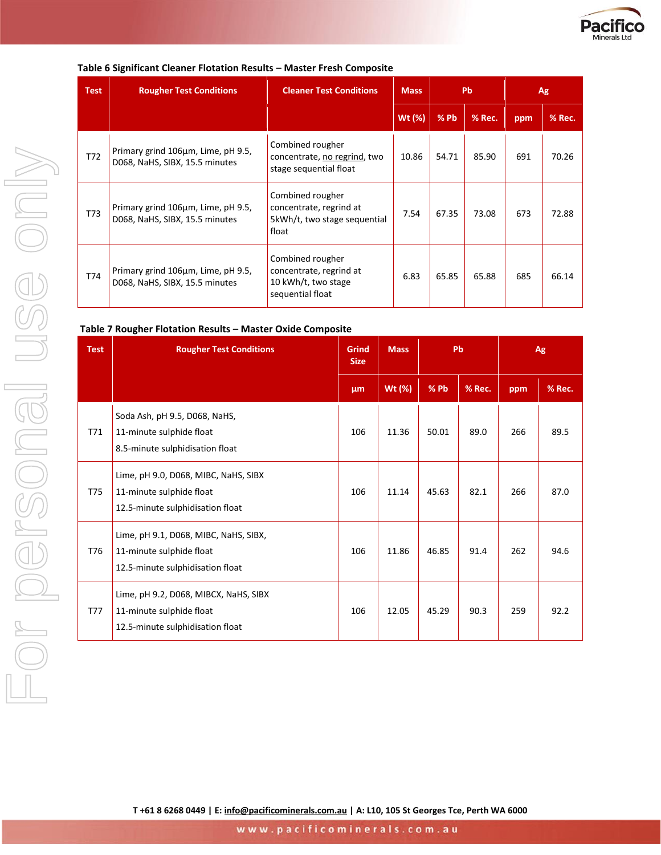

|  |  | Table 6 Significant Cleaner Flotation Results - Master Fresh Composite |
|--|--|------------------------------------------------------------------------|
|--|--|------------------------------------------------------------------------|

| <b>Test</b> | <b>Rougher Test Conditions</b>                                       | <b>Cleaner Test Conditions</b>                                                         | <b>Mass</b> | <b>Pb</b> |        | Ag  |        |
|-------------|----------------------------------------------------------------------|----------------------------------------------------------------------------------------|-------------|-----------|--------|-----|--------|
|             |                                                                      |                                                                                        | Wt (%)      | %Pb       | % Rec. | ppm | % Rec. |
| T72         | Primary grind 106µm, Lime, pH 9.5,<br>D068, NaHS, SIBX, 15.5 minutes | Combined rougher<br>concentrate, no regrind, two<br>stage sequential float             | 10.86       | 54.71     | 85.90  | 691 | 70.26  |
| T73         | Primary grind 106µm, Lime, pH 9.5,<br>D068, NaHS, SIBX, 15.5 minutes | Combined rougher<br>concentrate, regrind at<br>5kWh/t, two stage sequential<br>float   | 7.54        | 67.35     | 73.08  | 673 | 72.88  |
| T74         | Primary grind 106µm, Lime, pH 9.5,<br>D068, NaHS, SIBX, 15.5 minutes | Combined rougher<br>concentrate, regrind at<br>10 kWh/t, two stage<br>sequential float | 6.83        | 65.85     | 65.88  | 685 | 66.14  |

#### **Table 7 Rougher Flotation Results – Master Oxide Composite**

| <b>Test</b> | <b>Rougher Test Conditions</b>                                                                        | <b>Grind</b><br><b>Size</b> |        | Pb     |        | <b>Mass</b><br>Ag |        |  |
|-------------|-------------------------------------------------------------------------------------------------------|-----------------------------|--------|--------|--------|-------------------|--------|--|
|             |                                                                                                       | μm                          | Wt (%) | $%$ Pb | % Rec. | ppm               | % Rec. |  |
| T71         | Soda Ash, pH 9.5, D068, NaHS,<br>11-minute sulphide float<br>8.5-minute sulphidisation float          | 106                         | 11.36  | 50.01  | 89.0   | 266               | 89.5   |  |
| T75         | Lime, pH 9.0, D068, MIBC, NaHS, SIBX<br>11-minute sulphide float<br>12.5-minute sulphidisation float  | 106                         | 11.14  | 45.63  | 82.1   | 266               | 87.0   |  |
| T76         | Lime, pH 9.1, D068, MIBC, NaHS, SIBX,<br>11-minute sulphide float<br>12.5-minute sulphidisation float | 106                         | 11.86  | 46.85  | 91.4   | 262               | 94.6   |  |
| <b>T77</b>  | Lime, pH 9.2, D068, MIBCX, NaHS, SIBX<br>11-minute sulphide float<br>12.5-minute sulphidisation float | 106                         | 12.05  | 45.29  | 90.3   | 259               | 92.2   |  |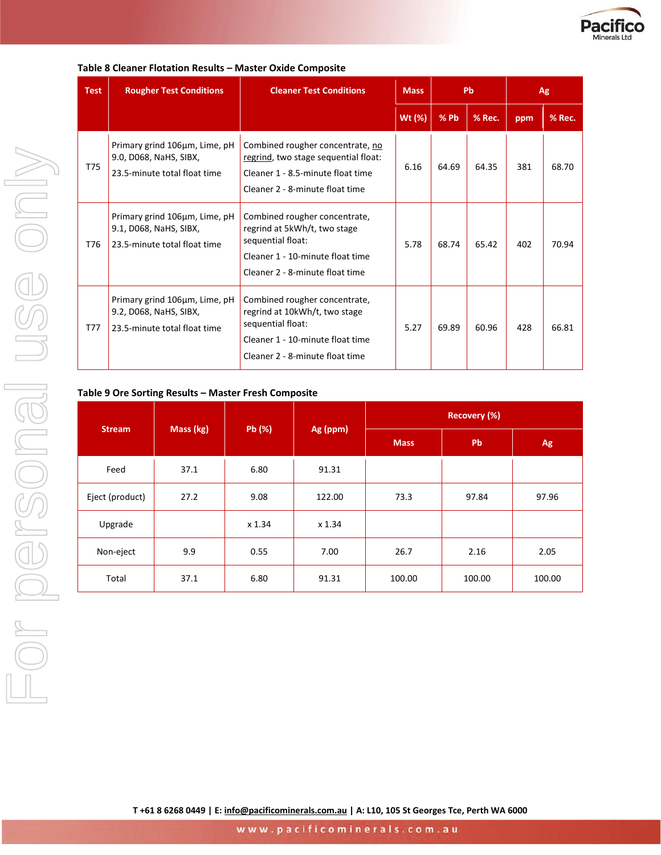

| <b>Test</b> | <b>Rougher Test Conditions</b>                                                          | <b>Cleaner Test Conditions</b>                                                                                                                             | <b>Mass</b> | <b>Pb</b> |        | Ag  |        |
|-------------|-----------------------------------------------------------------------------------------|------------------------------------------------------------------------------------------------------------------------------------------------------------|-------------|-----------|--------|-----|--------|
|             |                                                                                         |                                                                                                                                                            | Wt (%)      | $%$ Pb    | % Rec. | ppm | % Rec. |
| T75         | Primary grind 106µm, Lime, pH<br>9.0, D068, NaHS, SIBX,<br>23.5-minute total float time | Combined rougher concentrate, no<br>regrind, two stage sequential float:<br>Cleaner 1 - 8.5-minute float time<br>Cleaner 2 - 8-minute float time           | 6.16        | 64.69     | 64.35  | 381 | 68.70  |
| T76         | Primary grind 106µm, Lime, pH<br>9.1, D068, NaHS, SIBX,<br>23.5-minute total float time | Combined rougher concentrate,<br>regrind at 5kWh/t, two stage<br>sequential float:<br>Cleaner 1 - 10-minute float time<br>Cleaner 2 - 8-minute float time  | 5.78        | 68.74     | 65.42  | 402 | 70.94  |
| T77         | Primary grind 106µm, Lime, pH<br>9.2, D068, NaHS, SIBX,<br>23.5-minute total float time | Combined rougher concentrate,<br>regrind at 10kWh/t, two stage<br>sequential float:<br>Cleaner 1 - 10-minute float time<br>Cleaner 2 - 8-minute float time | 5.27        | 69.89     | 60.96  | 428 | 66.81  |

#### **Table 8 Cleaner Flotation Results – Master Oxide Composite**

#### **Table 9 Ore Sorting Results – Master Fresh Composite**

|                 |                                 |        |        | <b>Recovery (%)</b> |        |        |
|-----------------|---------------------------------|--------|--------|---------------------|--------|--------|
| <b>Stream</b>   | Pb (%)<br>Mass (kg)<br>Ag (ppm) |        |        | <b>Mass</b>         | Pb     | Ag     |
| Feed            | 37.1                            | 6.80   | 91.31  |                     |        |        |
| Eject (product) | 27.2                            | 9.08   | 122.00 | 73.3                | 97.84  | 97.96  |
| Upgrade         |                                 | x 1.34 | x 1.34 |                     |        |        |
| Non-eject       | 9.9                             | 0.55   | 7.00   | 26.7                | 2.16   | 2.05   |
| Total           | 37.1                            | 6.80   | 91.31  | 100.00              | 100.00 | 100.00 |